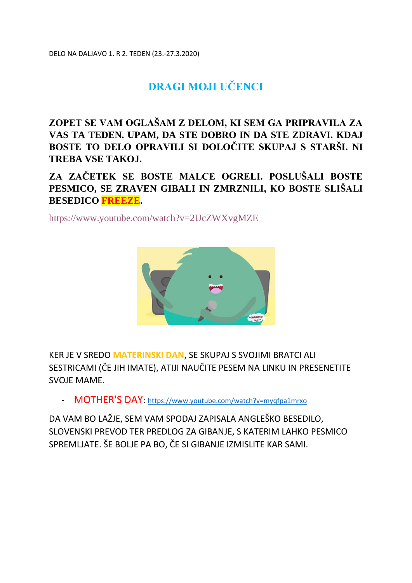DELO NA DALJAVO 1. R 2. TEDEN (23.-27.3.2020)

# **DRAGI MOJI UČENCI**

**ZOPET SE VAM OGLAŠAM Z DELOM, KI SEM GA PRIPRAVILA ZA VAS TA TEDEN. UPAM, DA STE DOBRO IN DA STE ZDRAVI. KDAJ BOSTE TO DELO OPRAVILI SI DOLOČITE SKUPAJ S STARŠI. NI TREBA VSE TAKOJ.**

**ZA ZAČETEK SE BOSTE MALCE OGRELI. POSLUŠALI BOSTE PESMICO, SE ZRAVEN GIBALI IN ZMRZNILI, KO BOSTE SLIŠALI BESEDICO FREEZE.** 

<https://www.youtube.com/watch?v=2UcZWXvgMZE>



KER JE V SREDO **MATERINSKI DAN**, SE SKUPAJ S SVOJIMI BRATCI ALI SESTRICAMI (ČE JIH IMATE), ATIJI NAUČITE PESEM NA LINKU IN PRESENETITE SVOJE MAME.

- MOTHER'S DAY: [https://www.youtube.com/watch?v=myqfpa1mrxo](https://www.youtube.com/watch?v=MYqFPa1mrXo)

DA VAM BO LAŽJE, SEM VAM SPODAJ ZAPISALA ANGLEŠKO BESEDILO, SLOVENSKI PREVOD TER PREDLOG ZA GIBANJE, S KATERIM LAHKO PESMICO SPREMLJATE. ŠE BOLJE PA BO, ČE SI GIBANJE IZMISLITE KAR SAMI.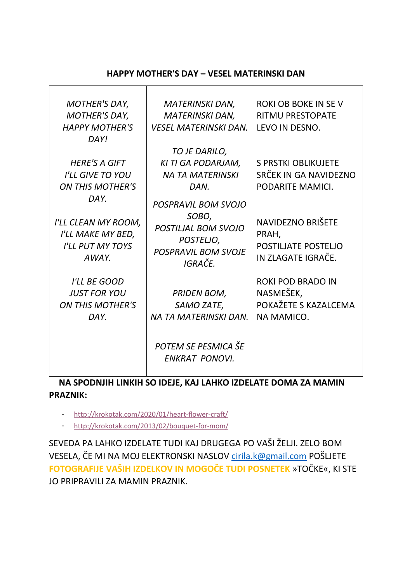#### **HAPPY MOTHER'S DAY – VESEL MATERINSKI DAN**

| <b>MOTHER'S DAY,</b><br><b>MOTHER'S DAY,</b><br><b>HAPPY MOTHER'S</b><br>DAY!        | <b>MATERINSKI DAN,</b><br><b>MATERINSKI DAN,</b><br><b>VESEL MATERINSKI DAN.</b>                                        | <b>ROKI OB BOKE IN SE V</b><br><b>RITMU PRESTOPATE</b><br>LEVO IN DESNO.    |
|--------------------------------------------------------------------------------------|-------------------------------------------------------------------------------------------------------------------------|-----------------------------------------------------------------------------|
| <b>HERE'S A GIFT</b><br><b>I'LL GIVE TO YOU</b><br><b>ON THIS MOTHER'S</b>           | TO JE DARILO,<br>KI TI GA PODARJAM,<br><b>NA TA MATERINSKI</b><br>DAN.                                                  | <b>S PRSTKI OBLIKUJETE</b><br>SRČEK IN GA NAVIDEZNO<br>PODARITE MAMICI.     |
| DAY.<br>I'LL CLEAN MY ROOM,<br>I'LL MAKE MY BED,<br><b>I'LL PUT MY TOYS</b><br>AWAY. | <b>POSPRAVIL BOM SVOJO</b><br>SOBO,<br><b>POSTILIAL BOM SVOJO</b><br>POSTELJO,<br><b>POSPRAVIL BOM SVOJE</b><br>IGRAČE. | NAVIDEZNO BRIŠETE<br>PRAH,<br>POSTILIATE POSTELIO<br>IN ZLAGATE IGRAČE.     |
| I'LL BE GOOD<br><b>JUST FOR YOU</b><br><b>ON THIS MOTHER'S</b><br>DAY.               | <b>PRIDEN BOM,</b><br>SAMO ZATE,<br>NA TA MATERINSKI DAN.                                                               | <b>ROKI POD BRADO IN</b><br>NASMEŠEK,<br>POKAŽETE S KAZALCEMA<br>NA MAMICO. |
|                                                                                      | POTEM SE PESMICA ŠE<br><b>ENKRAT PONOVI.</b>                                                                            |                                                                             |

### **NA SPODNJIH LINKIH SO IDEJE, KAJ LAHKO IZDELATE DOMA ZA MAMIN PRAZNIK:**

- <http://krokotak.com/2020/01/heart-flower-craft/>
- <http://krokotak.com/2013/02/bouquet-for-mom/>

SEVEDA PA LAHKO IZDELATE TUDI KAJ DRUGEGA PO VAŠI ŽELJI. ZELO BOM VESELA, ČE MI NA MOJ ELEKTRONSKI NASLOV [cirila.k@gmail.com](mailto:cirila.k@gmail.com) POŠLJETE **FOTOGRAFIJE VAŠIH IZDELKOV IN MOGOČE TUDI POSNETEK** »TOČKE«, KI STE JO PRIPRAVILI ZA MAMIN PRAZNIK.